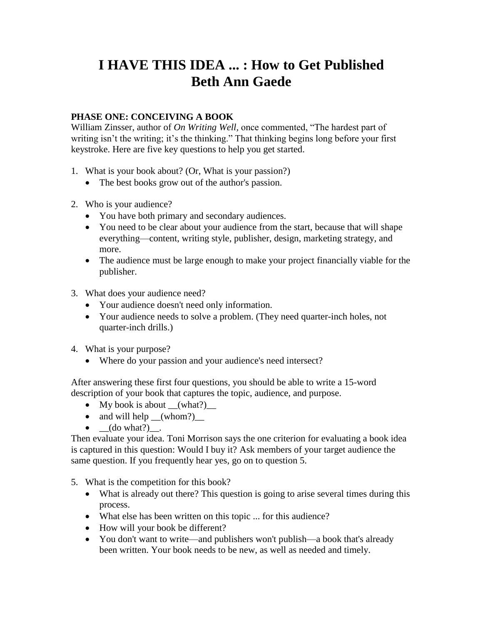# **I HAVE THIS IDEA ... : How to Get Published Beth Ann Gaede**

## **PHASE ONE: CONCEIVING A BOOK**

William Zinsser, author of *On Writing Well,* once commented, "The hardest part of writing isn't the writing; it's the thinking." That thinking begins long before your first keystroke. Here are five key questions to help you get started.

- 1. What is your book about? (Or, What is your passion?)
	- The best books grow out of the author's passion.
- 2. Who is your audience?
	- You have both primary and secondary audiences.
	- You need to be clear about your audience from the start, because that will shape everything—content, writing style, publisher, design, marketing strategy, and more.
	- The audience must be large enough to make your project financially viable for the publisher.
- 3. What does your audience need?
	- Your audience doesn't need only information.
	- Your audience needs to solve a problem. (They need quarter-inch holes, not quarter-inch drills.)
- 4. What is your purpose?
	- Where do your passion and your audience's need intersect?

After answering these first four questions, you should be able to write a 15-word description of your book that captures the topic, audience, and purpose.

- My book is about (what?)
- and will help  $(whom?)$
- $\bullet$  (do what?).

Then evaluate your idea. Toni Morrison says the one criterion for evaluating a book idea is captured in this question: Would I buy it? Ask members of your target audience the same question. If you frequently hear yes, go on to question 5.

- 5. What is the competition for this book?
	- What is already out there? This question is going to arise several times during this process.
	- What else has been written on this topic ... for this audience?
	- How will your book be different?
	- You don't want to write—and publishers won't publish—a book that's already been written. Your book needs to be new, as well as needed and timely.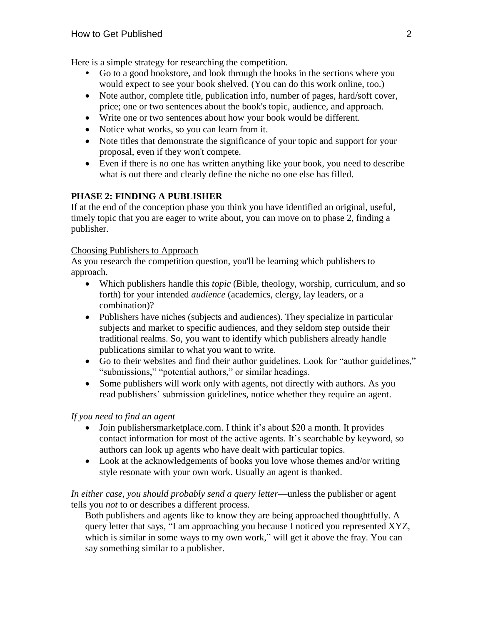Here is a simple strategy for researching the competition.

- Go to a good bookstore, and look through the books in the sections where you would expect to see your book shelved. (You can do this work online, too.)
- Note author, complete title, publication info, number of pages, hard/soft cover, price; one or two sentences about the book's topic, audience, and approach.
- Write one or two sentences about how your book would be different.
- Notice what works, so you can learn from it.
- Note titles that demonstrate the significance of your topic and support for your proposal, even if they won't compete.
- Even if there is no one has written anything like your book, you need to describe what *is* out there and clearly define the niche no one else has filled.

# **PHASE 2: FINDING A PUBLISHER**

If at the end of the conception phase you think you have identified an original, useful, timely topic that you are eager to write about, you can move on to phase 2, finding a publisher.

#### Choosing Publishers to Approach

As you research the competition question, you'll be learning which publishers to approach.

- Which publishers handle this *topic* (Bible, theology, worship, curriculum, and so forth) for your intended *audience* (academics, clergy, lay leaders, or a combination)?
- Publishers have niches (subjects and audiences). They specialize in particular subjects and market to specific audiences, and they seldom step outside their traditional realms. So, you want to identify which publishers already handle publications similar to what you want to write.
- Go to their websites and find their author guidelines. Look for "author guidelines," "submissions," "potential authors," or similar headings.
- Some publishers will work only with agents, not directly with authors. As you read publishers' submission guidelines, notice whether they require an agent.

#### *If you need to find an agent*

- Join publishersmarketplace.com. I think it's about \$20 a month. It provides contact information for most of the active agents. It's searchable by keyword, so authors can look up agents who have dealt with particular topics.
- Look at the acknowledgements of books you love whose themes and/or writing style resonate with your own work. Usually an agent is thanked.

*In either case, you should probably send a query letter*—unless the publisher or agent tells you *not* to or describes a different process.

Both publishers and agents like to know they are being approached thoughtfully. A query letter that says, "I am approaching you because I noticed you represented XYZ, which is similar in some ways to my own work," will get it above the fray. You can say something similar to a publisher.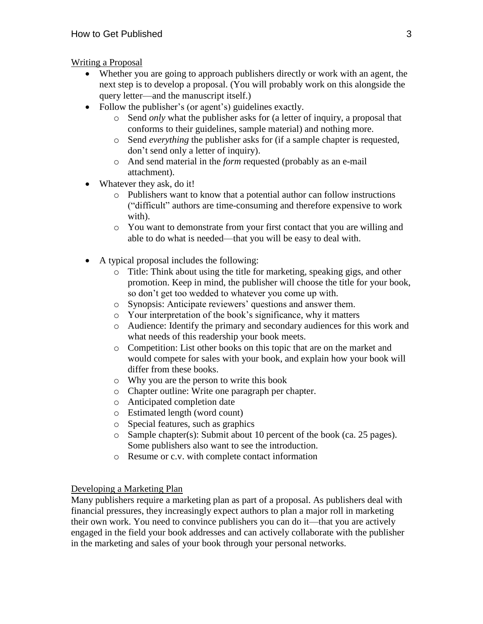## Writing a Proposal

- Whether you are going to approach publishers directly or work with an agent, the next step is to develop a proposal. (You will probably work on this alongside the query letter—and the manuscript itself.)
- Follow the publisher's (or agent's) guidelines exactly.
	- o Send *only* what the publisher asks for (a letter of inquiry, a proposal that conforms to their guidelines, sample material) and nothing more.
	- o Send *everything* the publisher asks for (if a sample chapter is requested, don't send only a letter of inquiry).
	- o And send material in the *form* requested (probably as an e-mail attachment).
- Whatever they ask, do it!
	- o Publishers want to know that a potential author can follow instructions ("difficult" authors are time-consuming and therefore expensive to work with).
	- o You want to demonstrate from your first contact that you are willing and able to do what is needed—that you will be easy to deal with.
- A typical proposal includes the following:
	- o Title: Think about using the title for marketing, speaking gigs, and other promotion. Keep in mind, the publisher will choose the title for your book, so don't get too wedded to whatever you come up with.
	- o Synopsis: Anticipate reviewers' questions and answer them.
	- o Your interpretation of the book's significance, why it matters
	- o Audience: Identify the primary and secondary audiences for this work and what needs of this readership your book meets.
	- o Competition: List other books on this topic that are on the market and would compete for sales with your book, and explain how your book will differ from these books.
	- o Why you are the person to write this book
	- o Chapter outline: Write one paragraph per chapter.
	- o Anticipated completion date
	- o Estimated length (word count)
	- o Special features, such as graphics
	- o Sample chapter(s): Submit about 10 percent of the book (ca. 25 pages). Some publishers also want to see the introduction.
	- o Resume or c.v. with complete contact information

#### Developing a Marketing Plan

Many publishers require a marketing plan as part of a proposal. As publishers deal with financial pressures, they increasingly expect authors to plan a major roll in marketing their own work. You need to convince publishers you can do it—that you are actively engaged in the field your book addresses and can actively collaborate with the publisher in the marketing and sales of your book through your personal networks.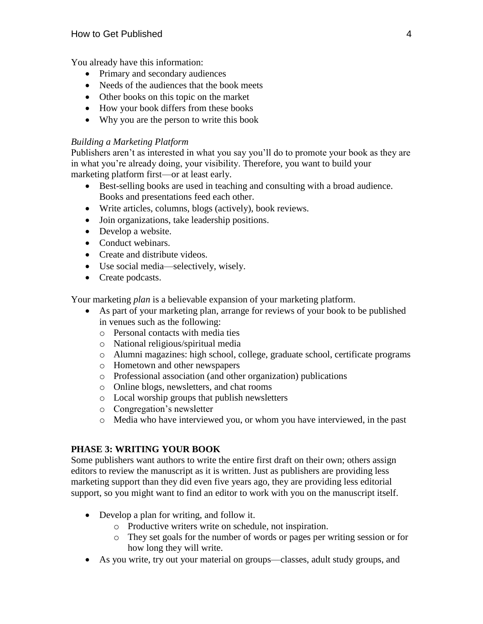You already have this information:

- Primary and secondary audiences
- Needs of the audiences that the book meets
- Other books on this topic on the market
- How your book differs from these books
- Why you are the person to write this book

## *Building a Marketing Platform*

Publishers aren't as interested in what you say you'll do to promote your book as they are in what you're already doing, your visibility. Therefore, you want to build your marketing platform first—or at least early.

- Best-selling books are used in teaching and consulting with a broad audience. Books and presentations feed each other.
- Write articles, columns, blogs (actively), book reviews.
- Join organizations, take leadership positions.
- Develop a website.
- Conduct webinars.
- Create and distribute videos.
- Use social media—selectively, wisely.
- Create podcasts.

Your marketing *plan* is a believable expansion of your marketing platform.

- As part of your marketing plan, arrange for reviews of your book to be published in venues such as the following:
	- o Personal contacts with media ties
	- o National religious/spiritual media
	- o Alumni magazines: high school, college, graduate school, certificate programs
	- o Hometown and other newspapers
	- o Professional association (and other organization) publications
	- o Online blogs, newsletters, and chat rooms
	- o Local worship groups that publish newsletters
	- o Congregation's newsletter
	- o Media who have interviewed you, or whom you have interviewed, in the past

# **PHASE 3: WRITING YOUR BOOK**

Some publishers want authors to write the entire first draft on their own; others assign editors to review the manuscript as it is written. Just as publishers are providing less marketing support than they did even five years ago, they are providing less editorial support, so you might want to find an editor to work with you on the manuscript itself.

- Develop a plan for writing, and follow it.
	- o Productive writers write on schedule, not inspiration.
	- o They set goals for the number of words or pages per writing session or for how long they will write.
- As you write, try out your material on groups—classes, adult study groups, and